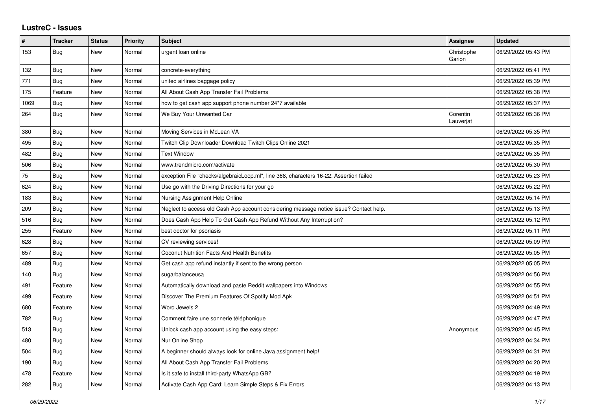## **LustreC - Issues**

| $\pmb{\#}$ | <b>Tracker</b> | <b>Status</b> | <b>Priority</b> | <b>Subject</b>                                                                         | <b>Assignee</b>       | <b>Updated</b>      |
|------------|----------------|---------------|-----------------|----------------------------------------------------------------------------------------|-----------------------|---------------------|
| 153        | <b>Bug</b>     | New           | Normal          | urgent loan online                                                                     | Christophe<br>Garion  | 06/29/2022 05:43 PM |
| 132        | Bug            | <b>New</b>    | Normal          | concrete-everything                                                                    |                       | 06/29/2022 05:41 PM |
| 771        | Bug            | <b>New</b>    | Normal          | united airlines baggage policy                                                         |                       | 06/29/2022 05:39 PM |
| 175        | Feature        | <b>New</b>    | Normal          | All About Cash App Transfer Fail Problems                                              |                       | 06/29/2022 05:38 PM |
| 1069       | Bug            | New           | Normal          | how to get cash app support phone number 24*7 available                                |                       | 06/29/2022 05:37 PM |
| 264        | Bug            | New           | Normal          | We Buy Your Unwanted Car                                                               | Corentin<br>Lauverjat | 06/29/2022 05:36 PM |
| 380        | Bug            | <b>New</b>    | Normal          | Moving Services in McLean VA                                                           |                       | 06/29/2022 05:35 PM |
| 495        | <b>Bug</b>     | <b>New</b>    | Normal          | Twitch Clip Downloader Download Twitch Clips Online 2021                               |                       | 06/29/2022 05:35 PM |
| 482        | <b>Bug</b>     | <b>New</b>    | Normal          | <b>Text Window</b>                                                                     |                       | 06/29/2022 05:35 PM |
| 506        | <b>Bug</b>     | <b>New</b>    | Normal          | www.trendmicro.com/activate                                                            |                       | 06/29/2022 05:30 PM |
| 75         | <b>Bug</b>     | <b>New</b>    | Normal          | exception File "checks/algebraicLoop.ml", line 368, characters 16-22: Assertion failed |                       | 06/29/2022 05:23 PM |
| 624        | Bug            | New           | Normal          | Use go with the Driving Directions for your go                                         |                       | 06/29/2022 05:22 PM |
| 183        | <b>Bug</b>     | <b>New</b>    | Normal          | Nursing Assignment Help Online                                                         |                       | 06/29/2022 05:14 PM |
| 209        | <b>Bug</b>     | <b>New</b>    | Normal          | Neglect to access old Cash App account considering message notice issue? Contact help. |                       | 06/29/2022 05:13 PM |
| 516        | Bug            | <b>New</b>    | Normal          | Does Cash App Help To Get Cash App Refund Without Any Interruption?                    |                       | 06/29/2022 05:12 PM |
| 255        | Feature        | <b>New</b>    | Normal          | best doctor for psoriasis                                                              |                       | 06/29/2022 05:11 PM |
| 628        | Bug            | <b>New</b>    | Normal          | CV reviewing services!                                                                 |                       | 06/29/2022 05:09 PM |
| 657        | <b>Bug</b>     | <b>New</b>    | Normal          | Coconut Nutrition Facts And Health Benefits                                            |                       | 06/29/2022 05:05 PM |
| 489        | Bug            | New           | Normal          | Get cash app refund instantly if sent to the wrong person                              |                       | 06/29/2022 05:05 PM |
| 140        | Bug            | <b>New</b>    | Normal          | sugarbalanceusa                                                                        |                       | 06/29/2022 04:56 PM |
| 491        | Feature        | <b>New</b>    | Normal          | Automatically download and paste Reddit wallpapers into Windows                        |                       | 06/29/2022 04:55 PM |
| 499        | Feature        | <b>New</b>    | Normal          | Discover The Premium Features Of Spotify Mod Apk                                       |                       | 06/29/2022 04:51 PM |
| 680        | Feature        | <b>New</b>    | Normal          | Word Jewels 2                                                                          |                       | 06/29/2022 04:49 PM |
| 782        | <b>Bug</b>     | <b>New</b>    | Normal          | Comment faire une sonnerie téléphonique                                                |                       | 06/29/2022 04:47 PM |
| 513        | Bug            | New           | Normal          | Unlock cash app account using the easy steps:                                          | Anonymous             | 06/29/2022 04:45 PM |
| 480        | Bug            | <b>New</b>    | Normal          | Nur Online Shop                                                                        |                       | 06/29/2022 04:34 PM |
| 504        | <b>Bug</b>     | <b>New</b>    | Normal          | A beginner should always look for online Java assignment help!                         |                       | 06/29/2022 04:31 PM |
| 190        | Bug            | New           | Normal          | All About Cash App Transfer Fail Problems                                              |                       | 06/29/2022 04:20 PM |
| 478        | Feature        | New           | Normal          | Is it safe to install third-party WhatsApp GB?                                         |                       | 06/29/2022 04:19 PM |
| 282        | <b>Bug</b>     | <b>New</b>    | Normal          | Activate Cash App Card: Learn Simple Steps & Fix Errors                                |                       | 06/29/2022 04:13 PM |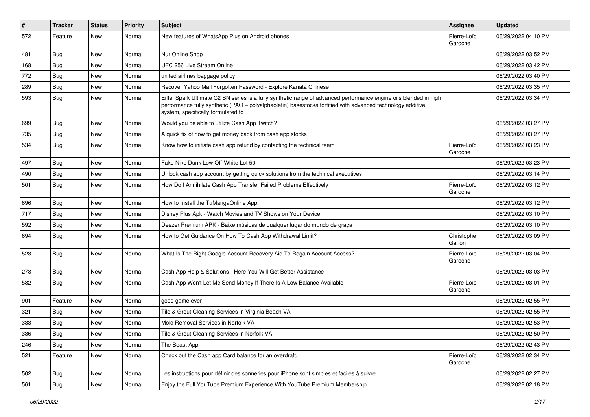| $\vert$ # | <b>Tracker</b> | <b>Status</b> | <b>Priority</b> | <b>Subject</b>                                                                                                                                                                                                                                                        | Assignee               | <b>Updated</b>      |
|-----------|----------------|---------------|-----------------|-----------------------------------------------------------------------------------------------------------------------------------------------------------------------------------------------------------------------------------------------------------------------|------------------------|---------------------|
| 572       | Feature        | New           | Normal          | New features of WhatsApp Plus on Android phones                                                                                                                                                                                                                       | Pierre-Loïc<br>Garoche | 06/29/2022 04:10 PM |
| 481       | <b>Bug</b>     | New           | Normal          | Nur Online Shop                                                                                                                                                                                                                                                       |                        | 06/29/2022 03:52 PM |
| 168       | Bug            | New           | Normal          | UFC 256 Live Stream Online                                                                                                                                                                                                                                            |                        | 06/29/2022 03:42 PM |
| 772       | <b>Bug</b>     | New           | Normal          | united airlines baggage policy                                                                                                                                                                                                                                        |                        | 06/29/2022 03:40 PM |
| 289       | Bug            | New           | Normal          | Recover Yahoo Mail Forgotten Password - Explore Kanata Chinese                                                                                                                                                                                                        |                        | 06/29/2022 03:35 PM |
| 593       | <b>Bug</b>     | New           | Normal          | Eiffel Spark Ultimate C2 SN series is a fully synthetic range of advanced performance engine oils blended in high<br>performance fully synthetic (PAO - polyalphaolefin) basestocks fortified with advanced technology additive<br>system, specifically formulated to |                        | 06/29/2022 03:34 PM |
| 699       | <b>Bug</b>     | New           | Normal          | Would you be able to utilize Cash App Twitch?                                                                                                                                                                                                                         |                        | 06/29/2022 03:27 PM |
| 735       | <b>Bug</b>     | New           | Normal          | A quick fix of how to get money back from cash app stocks                                                                                                                                                                                                             |                        | 06/29/2022 03:27 PM |
| 534       | <b>Bug</b>     | New           | Normal          | Know how to initiate cash app refund by contacting the technical team                                                                                                                                                                                                 | Pierre-Loïc<br>Garoche | 06/29/2022 03:23 PM |
| 497       | <b>Bug</b>     | New           | Normal          | Fake Nike Dunk Low Off-White Lot 50                                                                                                                                                                                                                                   |                        | 06/29/2022 03:23 PM |
| 490       | <b>Bug</b>     | New           | Normal          | Unlock cash app account by getting quick solutions from the technical executives                                                                                                                                                                                      |                        | 06/29/2022 03:14 PM |
| 501       | Bug            | New           | Normal          | How Do I Annihilate Cash App Transfer Failed Problems Effectively                                                                                                                                                                                                     | Pierre-Loïc<br>Garoche | 06/29/2022 03:12 PM |
| 696       | <b>Bug</b>     | New           | Normal          | How to Install the TuMangaOnline App                                                                                                                                                                                                                                  |                        | 06/29/2022 03:12 PM |
| 717       | <b>Bug</b>     | New           | Normal          | Disney Plus Apk - Watch Movies and TV Shows on Your Device                                                                                                                                                                                                            |                        | 06/29/2022 03:10 PM |
| 592       | Bug            | New           | Normal          | Deezer Premium APK - Baixe músicas de qualquer lugar do mundo de graça                                                                                                                                                                                                |                        | 06/29/2022 03:10 PM |
| 694       | Bug            | New           | Normal          | How to Get Guidance On How To Cash App Withdrawal Limit?                                                                                                                                                                                                              | Christophe<br>Garion   | 06/29/2022 03:09 PM |
| 523       | <b>Bug</b>     | New           | Normal          | What Is The Right Google Account Recovery Aid To Regain Account Access?                                                                                                                                                                                               | Pierre-Loïc<br>Garoche | 06/29/2022 03:04 PM |
| 278       | <b>Bug</b>     | New           | Normal          | Cash App Help & Solutions - Here You Will Get Better Assistance                                                                                                                                                                                                       |                        | 06/29/2022 03:03 PM |
| 582       | Bug            | New           | Normal          | Cash App Won't Let Me Send Money If There Is A Low Balance Available                                                                                                                                                                                                  | Pierre-Loïc<br>Garoche | 06/29/2022 03:01 PM |
| 901       | Feature        | New           | Normal          | good game ever                                                                                                                                                                                                                                                        |                        | 06/29/2022 02:55 PM |
| 321       | <b>Bug</b>     | New           | Normal          | Tile & Grout Cleaning Services in Virginia Beach VA                                                                                                                                                                                                                   |                        | 06/29/2022 02:55 PM |
| 333       | <b>Bug</b>     | New           | Normal          | Mold Removal Services in Norfolk VA                                                                                                                                                                                                                                   |                        | 06/29/2022 02:53 PM |
| 336       | <b>Bug</b>     | New           | Normal          | Tile & Grout Cleaning Services in Norfolk VA                                                                                                                                                                                                                          |                        | 06/29/2022 02:50 PM |
| 246       | Bug            | New           | Normal          | The Beast App                                                                                                                                                                                                                                                         |                        | 06/29/2022 02:43 PM |
| 521       | Feature        | New           | Normal          | Check out the Cash app Card balance for an overdraft.                                                                                                                                                                                                                 | Pierre-Loïc<br>Garoche | 06/29/2022 02:34 PM |
| 502       | <b>Bug</b>     | New           | Normal          | Les instructions pour définir des sonneries pour iPhone sont simples et faciles à suivre                                                                                                                                                                              |                        | 06/29/2022 02:27 PM |
| 561       | <b>Bug</b>     | New           | Normal          | Enjoy the Full YouTube Premium Experience With YouTube Premium Membership                                                                                                                                                                                             |                        | 06/29/2022 02:18 PM |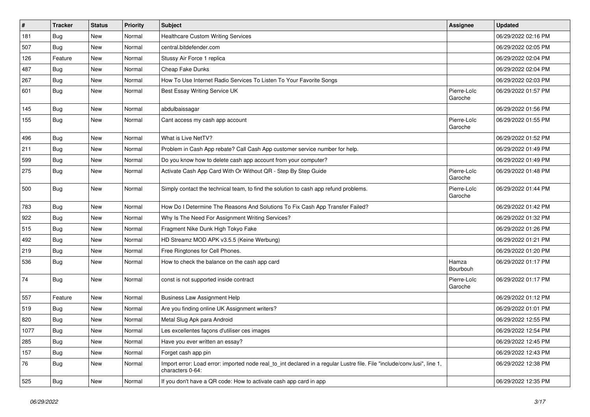| $\pmb{\#}$ | <b>Tracker</b> | <b>Status</b> | <b>Priority</b> | Subject                                                                                                                                      | Assignee               | <b>Updated</b>      |
|------------|----------------|---------------|-----------------|----------------------------------------------------------------------------------------------------------------------------------------------|------------------------|---------------------|
| 181        | <b>Bug</b>     | New           | Normal          | <b>Healthcare Custom Writing Services</b>                                                                                                    |                        | 06/29/2022 02:16 PM |
| 507        | Bug            | New           | Normal          | central.bitdefender.com                                                                                                                      |                        | 06/29/2022 02:05 PM |
| 126        | Feature        | New           | Normal          | Stussy Air Force 1 replica                                                                                                                   |                        | 06/29/2022 02:04 PM |
| 487        | Bug            | New           | Normal          | Cheap Fake Dunks                                                                                                                             |                        | 06/29/2022 02:04 PM |
| 267        | Bug            | New           | Normal          | How To Use Internet Radio Services To Listen To Your Favorite Songs                                                                          |                        | 06/29/2022 02:03 PM |
| 601        | <b>Bug</b>     | New           | Normal          | Best Essay Writing Service UK                                                                                                                | Pierre-Loïc<br>Garoche | 06/29/2022 01:57 PM |
| 145        | Bug            | New           | Normal          | abdulbaissagar                                                                                                                               |                        | 06/29/2022 01:56 PM |
| 155        | <b>Bug</b>     | New           | Normal          | Cant access my cash app account                                                                                                              | Pierre-Loïc<br>Garoche | 06/29/2022 01:55 PM |
| 496        | Bug            | New           | Normal          | What is Live NetTV?                                                                                                                          |                        | 06/29/2022 01:52 PM |
| 211        | <b>Bug</b>     | New           | Normal          | Problem in Cash App rebate? Call Cash App customer service number for help.                                                                  |                        | 06/29/2022 01:49 PM |
| 599        | Bug            | New           | Normal          | Do you know how to delete cash app account from your computer?                                                                               |                        | 06/29/2022 01:49 PM |
| 275        | <b>Bug</b>     | New           | Normal          | Activate Cash App Card With Or Without QR - Step By Step Guide                                                                               | Pierre-Loïc<br>Garoche | 06/29/2022 01:48 PM |
| 500        | Bug            | New           | Normal          | Simply contact the technical team, to find the solution to cash app refund problems.                                                         | Pierre-Loïc<br>Garoche | 06/29/2022 01:44 PM |
| 783        | <b>Bug</b>     | New           | Normal          | How Do I Determine The Reasons And Solutions To Fix Cash App Transfer Failed?                                                                |                        | 06/29/2022 01:42 PM |
| 922        | Bug            | New           | Normal          | Why Is The Need For Assignment Writing Services?                                                                                             |                        | 06/29/2022 01:32 PM |
| 515        | <b>Bug</b>     | New           | Normal          | Fragment Nike Dunk High Tokyo Fake                                                                                                           |                        | 06/29/2022 01:26 PM |
| 492        | Bug            | New           | Normal          | HD Streamz MOD APK v3.5.5 (Keine Werbung)                                                                                                    |                        | 06/29/2022 01:21 PM |
| 219        | <b>Bug</b>     | New           | Normal          | Free Ringtones for Cell Phones.                                                                                                              |                        | 06/29/2022 01:20 PM |
| 536        | Bug            | New           | Normal          | How to check the balance on the cash app card                                                                                                | Hamza<br>Bourbouh      | 06/29/2022 01:17 PM |
| 74         | <b>Bug</b>     | New           | Normal          | const is not supported inside contract                                                                                                       | Pierre-Loïc<br>Garoche | 06/29/2022 01:17 PM |
| 557        | Feature        | New           | Normal          | <b>Business Law Assignment Help</b>                                                                                                          |                        | 06/29/2022 01:12 PM |
| 519        | <b>Bug</b>     | New           | Normal          | Are you finding online UK Assignment writers?                                                                                                |                        | 06/29/2022 01:01 PM |
| 820        | Bug            | New           | Normal          | Metal Slug Apk para Android                                                                                                                  |                        | 06/29/2022 12:55 PM |
| 1077       | Bug            | New           | Normal          | Les excellentes façons d'utiliser ces images                                                                                                 |                        | 06/29/2022 12:54 PM |
| 285        | <b>Bug</b>     | New           | Normal          | Have you ever written an essay?                                                                                                              |                        | 06/29/2022 12:45 PM |
| 157        | <b>Bug</b>     | New           | Normal          | Forget cash app pin                                                                                                                          |                        | 06/29/2022 12:43 PM |
| 76         | <b>Bug</b>     | New           | Normal          | Import error: Load error: imported node real to int declared in a regular Lustre file. File "include/conv.lusi", line 1,<br>characters 0-64: |                        | 06/29/2022 12:38 PM |
| 525        | <b>Bug</b>     | New           | Normal          | If you don't have a QR code: How to activate cash app card in app                                                                            |                        | 06/29/2022 12:35 PM |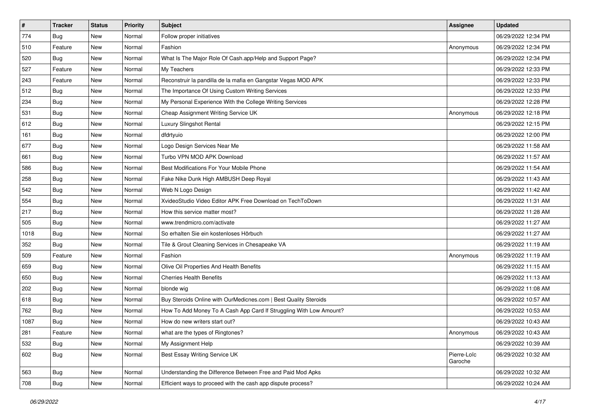| $\vert$ # | <b>Tracker</b> | <b>Status</b> | <b>Priority</b> | <b>Subject</b>                                                     | Assignee               | <b>Updated</b>      |
|-----------|----------------|---------------|-----------------|--------------------------------------------------------------------|------------------------|---------------------|
| 774       | <b>Bug</b>     | New           | Normal          | Follow proper initiatives                                          |                        | 06/29/2022 12:34 PM |
| 510       | Feature        | New           | Normal          | Fashion                                                            | Anonymous              | 06/29/2022 12:34 PM |
| 520       | <b>Bug</b>     | New           | Normal          | What Is The Major Role Of Cash.app/Help and Support Page?          |                        | 06/29/2022 12:34 PM |
| 527       | Feature        | New           | Normal          | My Teachers                                                        |                        | 06/29/2022 12:33 PM |
| 243       | Feature        | New           | Normal          | Reconstruir la pandilla de la mafia en Gangstar Vegas MOD APK      |                        | 06/29/2022 12:33 PM |
| 512       | Bug            | New           | Normal          | The Importance Of Using Custom Writing Services                    |                        | 06/29/2022 12:33 PM |
| 234       | <b>Bug</b>     | New           | Normal          | My Personal Experience With the College Writing Services           |                        | 06/29/2022 12:28 PM |
| 531       | Bug            | New           | Normal          | Cheap Assignment Writing Service UK                                | Anonymous              | 06/29/2022 12:18 PM |
| 612       | Bug            | New           | Normal          | Luxury Slingshot Rental                                            |                        | 06/29/2022 12:15 PM |
| 161       | <b>Bug</b>     | New           | Normal          | dfdrtyuio                                                          |                        | 06/29/2022 12:00 PM |
| 677       | Bug            | New           | Normal          | Logo Design Services Near Me                                       |                        | 06/29/2022 11:58 AM |
| 661       | <b>Bug</b>     | New           | Normal          | Turbo VPN MOD APK Download                                         |                        | 06/29/2022 11:57 AM |
| 586       | <b>Bug</b>     | New           | Normal          | Best Modifications For Your Mobile Phone                           |                        | 06/29/2022 11:54 AM |
| 258       | <b>Bug</b>     | New           | Normal          | Fake Nike Dunk High AMBUSH Deep Royal                              |                        | 06/29/2022 11:43 AM |
| 542       | <b>Bug</b>     | New           | Normal          | Web N Logo Design                                                  |                        | 06/29/2022 11:42 AM |
| 554       | <b>Bug</b>     | New           | Normal          | XvideoStudio Video Editor APK Free Download on TechToDown          |                        | 06/29/2022 11:31 AM |
| 217       | Bug            | New           | Normal          | How this service matter most?                                      |                        | 06/29/2022 11:28 AM |
| 505       | Bug            | New           | Normal          | www.trendmicro.com/activate                                        |                        | 06/29/2022 11:27 AM |
| 1018      | <b>Bug</b>     | New           | Normal          | So erhalten Sie ein kostenloses Hörbuch                            |                        | 06/29/2022 11:27 AM |
| 352       | Bug            | New           | Normal          | Tile & Grout Cleaning Services in Chesapeake VA                    |                        | 06/29/2022 11:19 AM |
| 509       | Feature        | New           | Normal          | Fashion                                                            | Anonymous              | 06/29/2022 11:19 AM |
| 659       | Bug            | New           | Normal          | Olive Oil Properties And Health Benefits                           |                        | 06/29/2022 11:15 AM |
| 650       | Bug            | New           | Normal          | <b>Cherries Health Benefits</b>                                    |                        | 06/29/2022 11:13 AM |
| 202       | <b>Bug</b>     | New           | Normal          | blonde wig                                                         |                        | 06/29/2022 11:08 AM |
| 618       | <b>Bug</b>     | New           | Normal          | Buy Steroids Online with OurMedicnes.com   Best Quality Steroids   |                        | 06/29/2022 10:57 AM |
| 762       | Bug            | New           | Normal          | How To Add Money To A Cash App Card If Struggling With Low Amount? |                        | 06/29/2022 10:53 AM |
| 1087      | <b>Bug</b>     | New           | Normal          | How do new writers start out?                                      |                        | 06/29/2022 10:43 AM |
| 281       | Feature        | New           | Normal          | what are the types of Ringtones?                                   | Anonymous              | 06/29/2022 10:43 AM |
| 532       | Bug            | New           | Normal          | My Assignment Help                                                 |                        | 06/29/2022 10:39 AM |
| 602       | <b>Bug</b>     | New           | Normal          | Best Essay Writing Service UK                                      | Pierre-Loïc<br>Garoche | 06/29/2022 10:32 AM |
| 563       | Bug            | New           | Normal          | Understanding the Difference Between Free and Paid Mod Apks        |                        | 06/29/2022 10:32 AM |
| 708       | <b>Bug</b>     | New           | Normal          | Efficient ways to proceed with the cash app dispute process?       |                        | 06/29/2022 10:24 AM |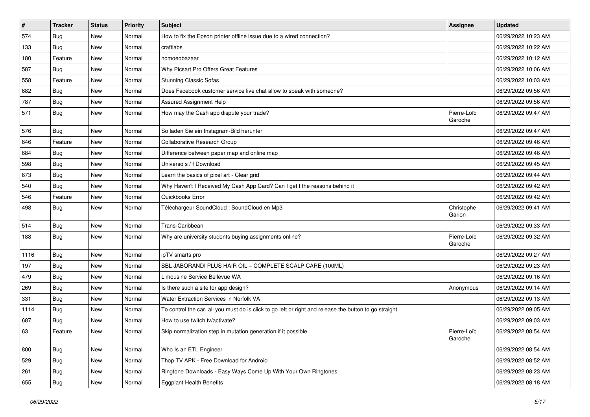| #    | <b>Tracker</b> | <b>Status</b> | <b>Priority</b> | Subject                                                                                                 | Assignee               | <b>Updated</b>      |
|------|----------------|---------------|-----------------|---------------------------------------------------------------------------------------------------------|------------------------|---------------------|
| 574  | <b>Bug</b>     | New           | Normal          | How to fix the Epson printer offline issue due to a wired connection?                                   |                        | 06/29/2022 10:23 AM |
| 133  | Bug            | New           | Normal          | craftlabs                                                                                               |                        | 06/29/2022 10:22 AM |
| 180  | Feature        | New           | Normal          | homoeobazaar                                                                                            |                        | 06/29/2022 10:12 AM |
| 587  | <b>Bug</b>     | New           | Normal          | Why Picsart Pro Offers Great Features                                                                   |                        | 06/29/2022 10:06 AM |
| 558  | Feature        | New           | Normal          | <b>Stunning Classic Sofas</b>                                                                           |                        | 06/29/2022 10:03 AM |
| 682  | <b>Bug</b>     | New           | Normal          | Does Facebook customer service live chat allow to speak with someone?                                   |                        | 06/29/2022 09:56 AM |
| 787  | <b>Bug</b>     | New           | Normal          | Assured Assignment Help                                                                                 |                        | 06/29/2022 09:56 AM |
| 571  | Bug            | New           | Normal          | How may the Cash app dispute your trade?                                                                | Pierre-Loïc<br>Garoche | 06/29/2022 09:47 AM |
| 576  | <b>Bug</b>     | New           | Normal          | So laden Sie ein Instagram-Bild herunter                                                                |                        | 06/29/2022 09:47 AM |
| 646  | Feature        | New           | Normal          | Collaborative Research Group                                                                            |                        | 06/29/2022 09:46 AM |
| 684  | <b>Bug</b>     | New           | Normal          | Difference between paper map and online map                                                             |                        | 06/29/2022 09:46 AM |
| 598  | Bug            | New           | Normal          | Universo s / f Download                                                                                 |                        | 06/29/2022 09:45 AM |
| 673  | <b>Bug</b>     | New           | Normal          | Learn the basics of pixel art - Clear grid                                                              |                        | 06/29/2022 09:44 AM |
| 540  | <b>Bug</b>     | New           | Normal          | Why Haven't I Received My Cash App Card? Can I get t the reasons behind it                              |                        | 06/29/2022 09:42 AM |
| 546  | Feature        | New           | Normal          | Quickbooks Error                                                                                        |                        | 06/29/2022 09:42 AM |
| 498  | <b>Bug</b>     | New           | Normal          | Téléchargeur SoundCloud : SoundCloud en Mp3                                                             | Christophe<br>Garion   | 06/29/2022 09:41 AM |
| 514  | Bug            | New           | Normal          | Trans-Caribbean                                                                                         |                        | 06/29/2022 09:33 AM |
| 188  | <b>Bug</b>     | New           | Normal          | Why are university students buying assignments online?                                                  | Pierre-Loïc<br>Garoche | 06/29/2022 09:32 AM |
| 1116 | Bug            | New           | Normal          | ipTV smarts pro                                                                                         |                        | 06/29/2022 09:27 AM |
| 197  | Bug            | New           | Normal          | SBL JABORANDI PLUS HAIR OIL - COMPLETE SCALP CARE (100ML)                                               |                        | 06/29/2022 09:23 AM |
| 479  | <b>Bug</b>     | New           | Normal          | Limousine Service Bellevue WA                                                                           |                        | 06/29/2022 09:16 AM |
| 269  | Bug            | New           | Normal          | Is there such a site for app design?                                                                    | Anonymous              | 06/29/2022 09:14 AM |
| 331  | <b>Bug</b>     | New           | Normal          | Water Extraction Services in Norfolk VA                                                                 |                        | 06/29/2022 09:13 AM |
| 1114 | <b>Bug</b>     | New           | Normal          | To control the car, all you must do is click to go left or right and release the button to go straight. |                        | 06/29/2022 09:05 AM |
| 687  | Bug            | New           | Normal          | How to use twitch.tv/activate?                                                                          |                        | 06/29/2022 09:03 AM |
| 63   | Feature        | New           | Normal          | Skip normalization step in mutation generation if it possible                                           | Pierre-Loïc<br>Garoche | 06/29/2022 08:54 AM |
| 800  | <b>Bug</b>     | New           | Normal          | Who Is an ETL Engineer                                                                                  |                        | 06/29/2022 08:54 AM |
| 529  | <b>Bug</b>     | New           | Normal          | Thop TV APK - Free Download for Android                                                                 |                        | 06/29/2022 08:52 AM |
| 261  | <b>Bug</b>     | New           | Normal          | Ringtone Downloads - Easy Ways Come Up With Your Own Ringtones                                          |                        | 06/29/2022 08:23 AM |
| 655  | <b>Bug</b>     | New           | Normal          | <b>Eggplant Health Benefits</b>                                                                         |                        | 06/29/2022 08:18 AM |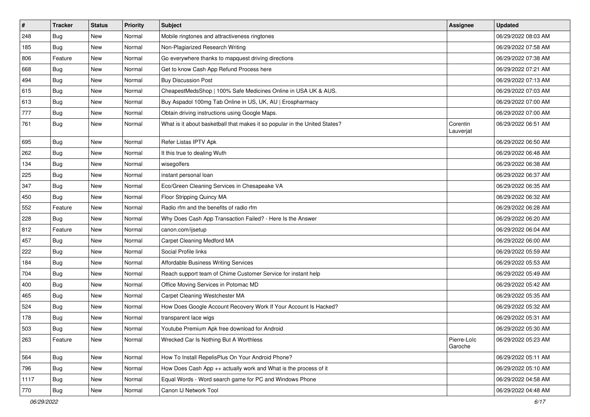| $\vert$ # | <b>Tracker</b> | <b>Status</b> | <b>Priority</b> | Subject                                                                    | <b>Assignee</b>        | <b>Updated</b>      |
|-----------|----------------|---------------|-----------------|----------------------------------------------------------------------------|------------------------|---------------------|
| 248       | <b>Bug</b>     | New           | Normal          | Mobile ringtones and attractiveness ringtones                              |                        | 06/29/2022 08:03 AM |
| 185       | <b>Bug</b>     | New           | Normal          | Non-Plagiarized Research Writing                                           |                        | 06/29/2022 07:58 AM |
| 806       | Feature        | New           | Normal          | Go everywhere thanks to mapquest driving directions                        |                        | 06/29/2022 07:38 AM |
| 668       | <b>Bug</b>     | New           | Normal          | Get to know Cash App Refund Process here                                   |                        | 06/29/2022 07:21 AM |
| 494       | Bug            | New           | Normal          | <b>Buy Discussion Post</b>                                                 |                        | 06/29/2022 07:13 AM |
| 615       | <b>Bug</b>     | New           | Normal          | CheapestMedsShop   100% Safe Medicines Online in USA UK & AUS.             |                        | 06/29/2022 07:03 AM |
| 613       | <b>Bug</b>     | New           | Normal          | Buy Aspadol 100mg Tab Online in US, UK, AU   Erospharmacy                  |                        | 06/29/2022 07:00 AM |
| 777       | Bug            | New           | Normal          | Obtain driving instructions using Google Maps.                             |                        | 06/29/2022 07:00 AM |
| 761       | <b>Bug</b>     | New           | Normal          | What is it about basketball that makes it so popular in the United States? | Corentin<br>Lauverjat  | 06/29/2022 06:51 AM |
| 695       | Bug            | New           | Normal          | Refer Listas IPTV Apk                                                      |                        | 06/29/2022 06:50 AM |
| 262       | <b>Bug</b>     | New           | Normal          | It this true to dealing Wuth                                               |                        | 06/29/2022 06:48 AM |
| 134       | Bug            | New           | Normal          | wisegolfers                                                                |                        | 06/29/2022 06:38 AM |
| 225       | <b>Bug</b>     | New           | Normal          | instant personal loan                                                      |                        | 06/29/2022 06:37 AM |
| 347       | <b>Bug</b>     | New           | Normal          | Eco/Green Cleaning Services in Chesapeake VA                               |                        | 06/29/2022 06:35 AM |
| 450       | <b>Bug</b>     | New           | Normal          | Floor Stripping Quincy MA                                                  |                        | 06/29/2022 06:32 AM |
| 552       | Feature        | New           | Normal          | Radio rfm and the benefits of radio rfm                                    |                        | 06/29/2022 06:28 AM |
| 228       | Bug            | New           | Normal          | Why Does Cash App Transaction Failed? - Here Is the Answer                 |                        | 06/29/2022 06:20 AM |
| 812       | Feature        | New           | Normal          | canon.com/ijsetup                                                          |                        | 06/29/2022 06:04 AM |
| 457       | Bug            | New           | Normal          | Carpet Cleaning Medford MA                                                 |                        | 06/29/2022 06:00 AM |
| 222       | Bug            | New           | Normal          | Social Profile links                                                       |                        | 06/29/2022 05:59 AM |
| 184       | Bug            | New           | Normal          | <b>Affordable Business Writing Services</b>                                |                        | 06/29/2022 05:53 AM |
| 704       | <b>Bug</b>     | New           | Normal          | Reach support team of Chime Customer Service for instant help              |                        | 06/29/2022 05:49 AM |
| 400       | <b>Bug</b>     | New           | Normal          | Office Moving Services in Potomac MD                                       |                        | 06/29/2022 05:42 AM |
| 465       | <b>Bug</b>     | New           | Normal          | Carpet Cleaning Westchester MA                                             |                        | 06/29/2022 05:35 AM |
| 524       | Bug            | New           | Normal          | How Does Google Account Recovery Work If Your Account Is Hacked?           |                        | 06/29/2022 05:32 AM |
| 178       | <b>Bug</b>     | New           | Normal          | transparent lace wigs                                                      |                        | 06/29/2022 05:31 AM |
| 503       | <b>Bug</b>     | New           | Normal          | Youtube Premium Apk free download for Android                              |                        | 06/29/2022 05:30 AM |
| 263       | Feature        | New           | Normal          | Wrecked Car Is Nothing But A Worthless                                     | Pierre-Loïc<br>Garoche | 06/29/2022 05:23 AM |
| 564       | <b>Bug</b>     | New           | Normal          | How To Install RepelisPlus On Your Android Phone?                          |                        | 06/29/2022 05:11 AM |
| 796       | Bug            | New           | Normal          | How Does Cash App ++ actually work and What is the process of it           |                        | 06/29/2022 05:10 AM |
| 1117      | <b>Bug</b>     | New           | Normal          | Equal Words - Word search game for PC and Windows Phone                    |                        | 06/29/2022 04:58 AM |
| 770       | Bug            | New           | Normal          | Canon IJ Network Tool                                                      |                        | 06/29/2022 04:48 AM |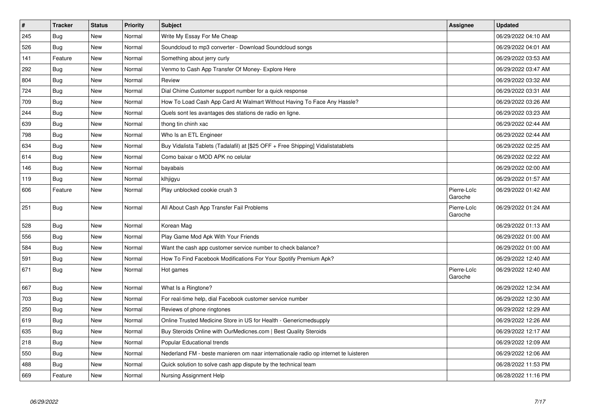| $\vert$ # | <b>Tracker</b> | <b>Status</b> | <b>Priority</b> | <b>Subject</b>                                                                      | <b>Assignee</b>        | <b>Updated</b>      |
|-----------|----------------|---------------|-----------------|-------------------------------------------------------------------------------------|------------------------|---------------------|
| 245       | Bug            | <b>New</b>    | Normal          | Write My Essay For Me Cheap                                                         |                        | 06/29/2022 04:10 AM |
| 526       | <b>Bug</b>     | <b>New</b>    | Normal          | Soundcloud to mp3 converter - Download Soundcloud songs                             |                        | 06/29/2022 04:01 AM |
| 141       | Feature        | New           | Normal          | Something about jerry curly                                                         |                        | 06/29/2022 03:53 AM |
| 292       | <b>Bug</b>     | New           | Normal          | Venmo to Cash App Transfer Of Money- Explore Here                                   |                        | 06/29/2022 03:47 AM |
| 804       | Bug            | New           | Normal          | Review                                                                              |                        | 06/29/2022 03:32 AM |
| 724       | <b>Bug</b>     | New           | Normal          | Dial Chime Customer support number for a quick response                             |                        | 06/29/2022 03:31 AM |
| 709       | <b>Bug</b>     | New           | Normal          | How To Load Cash App Card At Walmart Without Having To Face Any Hassle?             |                        | 06/29/2022 03:26 AM |
| 244       | Bug            | New           | Normal          | Quels sont les avantages des stations de radio en ligne.                            |                        | 06/29/2022 03:23 AM |
| 639       | <b>Bug</b>     | New           | Normal          | thong tin chinh xac                                                                 |                        | 06/29/2022 02:44 AM |
| 798       | <b>Bug</b>     | New           | Normal          | Who Is an ETL Engineer                                                              |                        | 06/29/2022 02:44 AM |
| 634       | <b>Bug</b>     | New           | Normal          | Buy Vidalista Tablets (Tadalafil) at [\$25 OFF + Free Shipping] Vidalistatablets    |                        | 06/29/2022 02:25 AM |
| 614       | Bug            | New           | Normal          | Como baixar o MOD APK no celular                                                    |                        | 06/29/2022 02:22 AM |
| 146       | Bug            | New           | Normal          | bayabais                                                                            |                        | 06/29/2022 02:00 AM |
| 119       | Bug            | New           | Normal          | klhjigyu                                                                            |                        | 06/29/2022 01:57 AM |
| 606       | Feature        | New           | Normal          | Play unblocked cookie crush 3                                                       | Pierre-Loïc<br>Garoche | 06/29/2022 01:42 AM |
| 251       | Bug            | New           | Normal          | All About Cash App Transfer Fail Problems                                           | Pierre-Loïc<br>Garoche | 06/29/2022 01:24 AM |
| 528       | Bug            | New           | Normal          | Korean Mag                                                                          |                        | 06/29/2022 01:13 AM |
| 556       | <b>Bug</b>     | New           | Normal          | Play Game Mod Apk With Your Friends                                                 |                        | 06/29/2022 01:00 AM |
| 584       | Bug            | New           | Normal          | Want the cash app customer service number to check balance?                         |                        | 06/29/2022 01:00 AM |
| 591       | Bug            | New           | Normal          | How To Find Facebook Modifications For Your Spotify Premium Apk?                    |                        | 06/29/2022 12:40 AM |
| 671       | <b>Bug</b>     | New           | Normal          | Hot games                                                                           | Pierre-Loïc<br>Garoche | 06/29/2022 12:40 AM |
| 667       | Bug            | New           | Normal          | What Is a Ringtone?                                                                 |                        | 06/29/2022 12:34 AM |
| 703       | <b>Bug</b>     | New           | Normal          | For real-time help, dial Facebook customer service number                           |                        | 06/29/2022 12:30 AM |
| 250       | <b>Bug</b>     | New           | Normal          | Reviews of phone ringtones                                                          |                        | 06/29/2022 12:29 AM |
| 619       | <b>Bug</b>     | New           | Normal          | Online Trusted Medicine Store in US for Health - Genericmedsupply                   |                        | 06/29/2022 12:26 AM |
| 635       | <b>Bug</b>     | New           | Normal          | Buy Steroids Online with OurMedicnes.com   Best Quality Steroids                    |                        | 06/29/2022 12:17 AM |
| 218       | <b>Bug</b>     | New           | Normal          | Popular Educational trends                                                          |                        | 06/29/2022 12:09 AM |
| 550       | <b>Bug</b>     | New           | Normal          | Nederland FM - beste manieren om naar internationale radio op internet te luisteren |                        | 06/29/2022 12:06 AM |
| 488       | <b>Bug</b>     | New           | Normal          | Quick solution to solve cash app dispute by the technical team                      |                        | 06/28/2022 11:53 PM |
| 669       | Feature        | <b>New</b>    | Normal          | Nursing Assignment Help                                                             |                        | 06/28/2022 11:16 PM |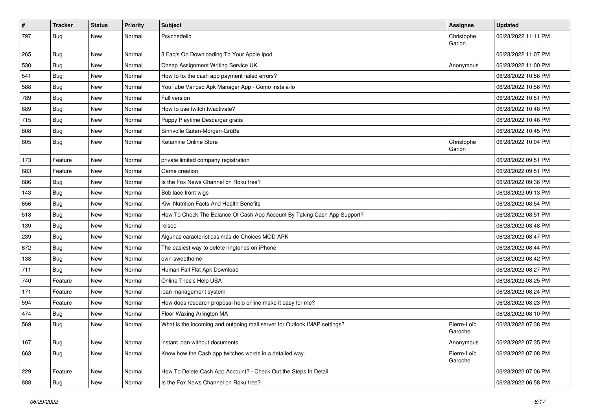| $\vert$ # | <b>Tracker</b> | <b>Status</b> | <b>Priority</b> | Subject                                                                  | Assignee               | <b>Updated</b>      |
|-----------|----------------|---------------|-----------------|--------------------------------------------------------------------------|------------------------|---------------------|
| 797       | <b>Bug</b>     | New           | Normal          | Psychedelic                                                              | Christophe<br>Garion   | 06/28/2022 11:11 PM |
| 265       | <b>Bug</b>     | New           | Normal          | 3 Faq's On Downloading To Your Apple Ipod                                |                        | 06/28/2022 11:07 PM |
| 530       | <b>Bug</b>     | New           | Normal          | Cheap Assignment Writing Service UK                                      | Anonymous              | 06/28/2022 11:00 PM |
| 541       | Bug            | New           | Normal          | How to fix the cash app payment failed errors?                           |                        | 06/28/2022 10:56 PM |
| 588       | <b>Bug</b>     | New           | Normal          | YouTube Vanced Apk Manager App - Como instalá-lo                         |                        | 06/28/2022 10:56 PM |
| 789       | Bug            | New           | Normal          | Full version                                                             |                        | 06/28/2022 10:51 PM |
| 689       | Bug            | New           | Normal          | How to use twitch.tv/activate?                                           |                        | 06/28/2022 10:48 PM |
| 715       | <b>Bug</b>     | New           | Normal          | Puppy Playtime Descargar gratis                                          |                        | 06/28/2022 10:46 PM |
| 808       | Bug            | New           | Normal          | Sinnvolle Guten-Morgen-Grüße                                             |                        | 06/28/2022 10:45 PM |
| 805       | <b>Bug</b>     | New           | Normal          | Ketamine Online Store                                                    | Christophe<br>Garion   | 06/28/2022 10:04 PM |
| 173       | Feature        | New           | Normal          | private limited company registration                                     |                        | 06/28/2022 09:51 PM |
| 683       | Feature        | New           | Normal          | Game creation                                                            |                        | 06/28/2022 09:51 PM |
| 886       | <b>Bug</b>     | New           | Normal          | Is the Fox News Channel on Roku free?                                    |                        | 06/28/2022 09:36 PM |
| 143       | <b>Bug</b>     | New           | Normal          | Bob lace front wigs                                                      |                        | 06/28/2022 09:13 PM |
| 656       | <b>Bug</b>     | New           | Normal          | Kiwi Nutrition Facts And Health Benefits                                 |                        | 06/28/2022 08:54 PM |
| 518       | Bug            | New           | Normal          | How To Check The Balance Of Cash App Account By Taking Cash App Support? |                        | 06/28/2022 08:51 PM |
| 139       | Bug            | New           | Normal          | relseo                                                                   |                        | 06/28/2022 08:48 PM |
| 239       | Bug            | New           | Normal          | Algunas características más de Choices MOD APK                           |                        | 06/28/2022 08:47 PM |
| 672       | Bug            | New           | Normal          | The easiest way to delete ringtones on iPhone                            |                        | 06/28/2022 08:44 PM |
| 138       | <b>Bug</b>     | New           | Normal          | own-sweethome                                                            |                        | 06/28/2022 08:42 PM |
| 711       | Bug            | New           | Normal          | Human Fall Flat Apk Download                                             |                        | 06/28/2022 08:27 PM |
| 740       | Feature        | New           | Normal          | Online Thesis Help USA                                                   |                        | 06/28/2022 08:25 PM |
| 171       | Feature        | New           | Normal          | loan management system                                                   |                        | 06/28/2022 08:24 PM |
| 594       | Feature        | New           | Normal          | How does research proposal help online make it easy for me?              |                        | 06/28/2022 08:23 PM |
| 474       | <b>Bug</b>     | New           | Normal          | Floor Waxing Arlington MA                                                |                        | 06/28/2022 08:10 PM |
| 569       | Bug            | New           | Normal          | What is the incoming and outgoing mail server for Outlook IMAP settings? | Pierre-Loïc<br>Garoche | 06/28/2022 07:38 PM |
| 167       | <b>Bug</b>     | New           | Normal          | instant loan without documents                                           | Anonymous              | 06/28/2022 07:35 PM |
| 663       | <b>Bug</b>     | New           | Normal          | Know how the Cash app twitches words in a detailed way.                  | Pierre-Loïc<br>Garoche | 06/28/2022 07:08 PM |
| 229       | Feature        | New           | Normal          | How To Delete Cash App Account? - Check Out the Steps In Detail          |                        | 06/28/2022 07:06 PM |
| 888       | <b>Bug</b>     | New           | Normal          | Is the Fox News Channel on Roku free?                                    |                        | 06/28/2022 06:58 PM |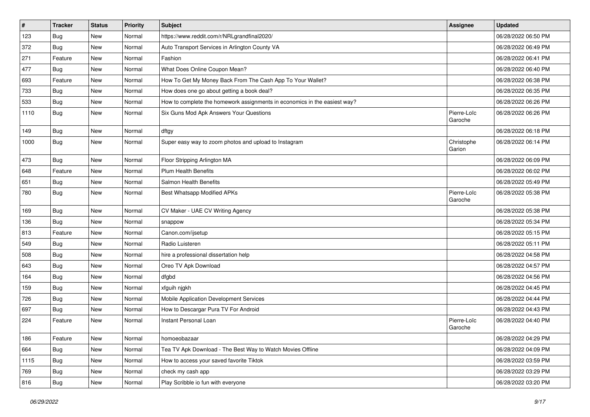| $\vert$ # | <b>Tracker</b> | <b>Status</b> | <b>Priority</b> | Subject                                                                   | Assignee               | <b>Updated</b>      |
|-----------|----------------|---------------|-----------------|---------------------------------------------------------------------------|------------------------|---------------------|
| 123       | <b>Bug</b>     | New           | Normal          | https://www.reddit.com/r/NRLgrandfinal2020/                               |                        | 06/28/2022 06:50 PM |
| 372       | <b>Bug</b>     | New           | Normal          | Auto Transport Services in Arlington County VA                            |                        | 06/28/2022 06:49 PM |
| 271       | Feature        | New           | Normal          | Fashion                                                                   |                        | 06/28/2022 06:41 PM |
| 477       | <b>Bug</b>     | New           | Normal          | What Does Online Coupon Mean?                                             |                        | 06/28/2022 06:40 PM |
| 693       | Feature        | New           | Normal          | How To Get My Money Back From The Cash App To Your Wallet?                |                        | 06/28/2022 06:38 PM |
| 733       | <b>Bug</b>     | New           | Normal          | How does one go about getting a book deal?                                |                        | 06/28/2022 06:35 PM |
| 533       | Bug            | New           | Normal          | How to complete the homework assignments in economics in the easiest way? |                        | 06/28/2022 06:26 PM |
| 1110      | Bug            | New           | Normal          | Six Guns Mod Apk Answers Your Questions                                   | Pierre-Loïc<br>Garoche | 06/28/2022 06:26 PM |
| 149       | <b>Bug</b>     | New           | Normal          | dftgy                                                                     |                        | 06/28/2022 06:18 PM |
| 1000      | <b>Bug</b>     | New           | Normal          | Super easy way to zoom photos and upload to Instagram                     | Christophe<br>Garion   | 06/28/2022 06:14 PM |
| 473       | Bug            | New           | Normal          | Floor Stripping Arlington MA                                              |                        | 06/28/2022 06:09 PM |
| 648       | Feature        | New           | Normal          | <b>Plum Health Benefits</b>                                               |                        | 06/28/2022 06:02 PM |
| 651       | Bug            | New           | Normal          | Salmon Health Benefits                                                    |                        | 06/28/2022 05:49 PM |
| 780       | Bug            | New           | Normal          | <b>Best Whatsapp Modified APKs</b>                                        | Pierre-Loïc<br>Garoche | 06/28/2022 05:38 PM |
| 169       | Bug            | New           | Normal          | CV Maker - UAE CV Writing Agency                                          |                        | 06/28/2022 05:38 PM |
| 136       | Bug            | New           | Normal          | snappow                                                                   |                        | 06/28/2022 05:34 PM |
| 813       | Feature        | <b>New</b>    | Normal          | Canon.com/ijsetup                                                         |                        | 06/28/2022 05:15 PM |
| 549       | Bug            | New           | Normal          | Radio Luisteren                                                           |                        | 06/28/2022 05:11 PM |
| 508       | Bug            | New           | Normal          | hire a professional dissertation help                                     |                        | 06/28/2022 04:58 PM |
| 643       | Bug            | New           | Normal          | Oreo TV Apk Download                                                      |                        | 06/28/2022 04:57 PM |
| 164       | Bug            | New           | Normal          | dfgbd                                                                     |                        | 06/28/2022 04:56 PM |
| 159       | <b>Bug</b>     | New           | Normal          | xfguih njgkh                                                              |                        | 06/28/2022 04:45 PM |
| 726       | Bug            | New           | Normal          | Mobile Application Development Services                                   |                        | 06/28/2022 04:44 PM |
| 697       | <b>Bug</b>     | New           | Normal          | How to Descargar Pura TV For Android                                      |                        | 06/28/2022 04:43 PM |
| 224       | Feature        | New           | Normal          | <b>Instant Personal Loan</b>                                              | Pierre-Loïc<br>Garoche | 06/28/2022 04:40 PM |
| 186       | Feature        | New           | Normal          | homoeobazaar                                                              |                        | 06/28/2022 04:29 PM |
| 664       | <b>Bug</b>     | New           | Normal          | Tea TV Apk Download - The Best Way to Watch Movies Offline                |                        | 06/28/2022 04:09 PM |
| 1115      | Bug            | New           | Normal          | How to access your saved favorite Tiktok                                  |                        | 06/28/2022 03:59 PM |
| 769       | <b>Bug</b>     | New           | Normal          | check my cash app                                                         |                        | 06/28/2022 03:29 PM |
| 816       | <b>Bug</b>     | New           | Normal          | Play Scribble io fun with everyone                                        |                        | 06/28/2022 03:20 PM |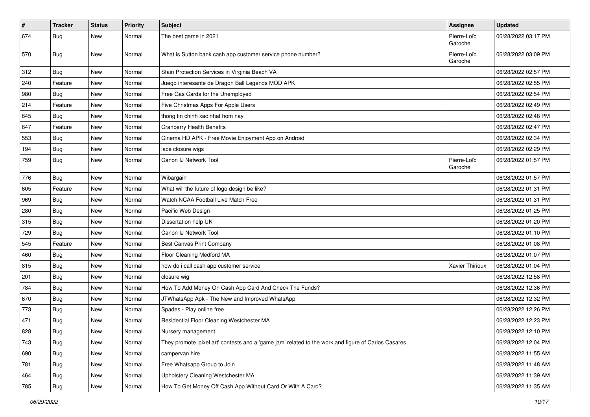| $\vert$ # | <b>Tracker</b> | <b>Status</b> | <b>Priority</b> | Subject                                                                                             | Assignee               | <b>Updated</b>      |
|-----------|----------------|---------------|-----------------|-----------------------------------------------------------------------------------------------------|------------------------|---------------------|
| 674       | <b>Bug</b>     | New           | Normal          | The best game in 2021                                                                               | Pierre-Loïc<br>Garoche | 06/28/2022 03:17 PM |
| 570       | <b>Bug</b>     | New           | Normal          | What is Sutton bank cash app customer service phone number?                                         | Pierre-Loïc<br>Garoche | 06/28/2022 03:09 PM |
| 312       | Bug            | New           | Normal          | Stain Protection Services in Virginia Beach VA                                                      |                        | 06/28/2022 02:57 PM |
| 240       | Feature        | New           | Normal          | Juego interesante de Dragon Ball Legends MOD APK                                                    |                        | 06/28/2022 02:55 PM |
| 980       | <b>Bug</b>     | New           | Normal          | Free Gas Cards for the Unemployed                                                                   |                        | 06/28/2022 02:54 PM |
| 214       | Feature        | New           | Normal          | Five Christmas Apps For Apple Users                                                                 |                        | 06/28/2022 02:49 PM |
| 645       | Bug            | New           | Normal          | thong tin chinh xac nhat hom nay                                                                    |                        | 06/28/2022 02:48 PM |
| 647       | Feature        | New           | Normal          | <b>Cranberry Health Benefits</b>                                                                    |                        | 06/28/2022 02:47 PM |
| 553       | Bug            | New           | Normal          | Cinema HD APK - Free Movie Enjoyment App on Android                                                 |                        | 06/28/2022 02:34 PM |
| 194       | <b>Bug</b>     | New           | Normal          | lace closure wigs                                                                                   |                        | 06/28/2022 02:29 PM |
| 759       | Bug            | New           | Normal          | Canon IJ Network Tool                                                                               | Pierre-Loïc<br>Garoche | 06/28/2022 01:57 PM |
| 776       | <b>Bug</b>     | New           | Normal          | Wibargain                                                                                           |                        | 06/28/2022 01:57 PM |
| 605       | Feature        | New           | Normal          | What will the future of logo design be like?                                                        |                        | 06/28/2022 01:31 PM |
| 969       | Bug            | New           | Normal          | Watch NCAA Football Live Match Free                                                                 |                        | 06/28/2022 01:31 PM |
| 280       | Bug            | New           | Normal          | Pacific Web Design                                                                                  |                        | 06/28/2022 01:25 PM |
| 315       | Bug            | New           | Normal          | Dissertation help UK                                                                                |                        | 06/28/2022 01:20 PM |
| 729       | <b>Bug</b>     | New           | Normal          | Canon IJ Network Tool                                                                               |                        | 06/28/2022 01:10 PM |
| 545       | Feature        | New           | Normal          | Best Canvas Print Company                                                                           |                        | 06/28/2022 01:08 PM |
| 460       | Bug            | New           | Normal          | Floor Cleaning Medford MA                                                                           |                        | 06/28/2022 01:07 PM |
| 815       | <b>Bug</b>     | New           | Normal          | how do i call cash app customer service                                                             | Xavier Thirioux        | 06/28/2022 01:04 PM |
| 201       | <b>Bug</b>     | New           | Normal          | closure wig                                                                                         |                        | 06/28/2022 12:58 PM |
| 784       | <b>Bug</b>     | New           | Normal          | How To Add Money On Cash App Card And Check The Funds?                                              |                        | 06/28/2022 12:36 PM |
| 670       | Bug            | New           | Normal          | JTWhatsApp Apk - The New and Improved WhatsApp                                                      |                        | 06/28/2022 12:32 PM |
| 773       | <b>Bug</b>     | New           | Normal          | Spades - Play online free                                                                           |                        | 06/28/2022 12:26 PM |
| 471       | <b>Bug</b>     | New           | Normal          | Residential Floor Cleaning Westchester MA                                                           |                        | 06/28/2022 12:23 PM |
| 828       | <b>Bug</b>     | New           | Normal          | Nursery management                                                                                  |                        | 06/28/2022 12:10 PM |
| 743       | <b>Bug</b>     | New           | Normal          | They promote 'pixel art' contests and a 'game jam' related to the work and figure of Carlos Casares |                        | 06/28/2022 12:04 PM |
| 690       | <b>Bug</b>     | New           | Normal          | campervan hire                                                                                      |                        | 06/28/2022 11:55 AM |
| 781       | Bug            | New           | Normal          | Free Whatsapp Group to Join                                                                         |                        | 06/28/2022 11:48 AM |
| 464       | Bug            | New           | Normal          | Upholstery Cleaning Westchester MA                                                                  |                        | 06/28/2022 11:39 AM |
| 785       | <b>Bug</b>     | New           | Normal          | How To Get Money Off Cash App Without Card Or With A Card?                                          |                        | 06/28/2022 11:35 AM |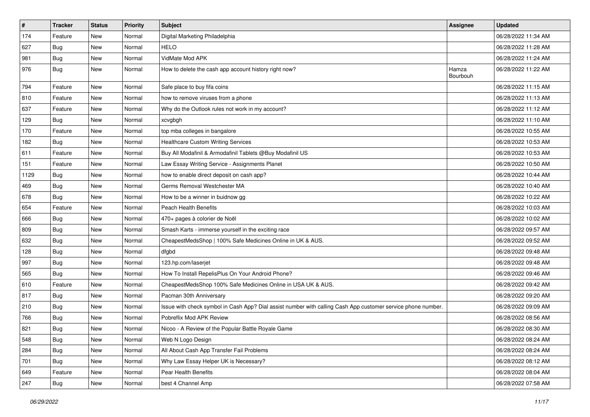| $\sharp$ | <b>Tracker</b> | <b>Status</b> | <b>Priority</b> | Subject                                                                                                      | <b>Assignee</b>   | <b>Updated</b>      |
|----------|----------------|---------------|-----------------|--------------------------------------------------------------------------------------------------------------|-------------------|---------------------|
| 174      | Feature        | New           | Normal          | Digital Marketing Philadelphia                                                                               |                   | 06/28/2022 11:34 AM |
| 627      | <b>Bug</b>     | New           | Normal          | <b>HELO</b>                                                                                                  |                   | 06/28/2022 11:28 AM |
| 981      | Bug            | New           | Normal          | VidMate Mod APK                                                                                              |                   | 06/28/2022 11:24 AM |
| 976      | <b>Bug</b>     | New           | Normal          | How to delete the cash app account history right now?                                                        | Hamza<br>Bourbouh | 06/28/2022 11:22 AM |
| 794      | Feature        | New           | Normal          | Safe place to buy fifa coins                                                                                 |                   | 06/28/2022 11:15 AM |
| 810      | Feature        | New           | Normal          | how to remove viruses from a phone                                                                           |                   | 06/28/2022 11:13 AM |
| 637      | Feature        | New           | Normal          | Why do the Outlook rules not work in my account?                                                             |                   | 06/28/2022 11:12 AM |
| 129      | <b>Bug</b>     | New           | Normal          | xcvgbgh                                                                                                      |                   | 06/28/2022 11:10 AM |
| 170      | Feature        | New           | Normal          | top mba colleges in bangalore                                                                                |                   | 06/28/2022 10:55 AM |
| 182      | Bug            | New           | Normal          | <b>Healthcare Custom Writing Services</b>                                                                    |                   | 06/28/2022 10:53 AM |
| 611      | Feature        | New           | Normal          | Buy All Modafinil & Armodafinil Tablets @Buy Modafinil US                                                    |                   | 06/28/2022 10:53 AM |
| 151      | Feature        | New           | Normal          | Law Essay Writing Service - Assignments Planet                                                               |                   | 06/28/2022 10:50 AM |
| 1129     | Bug            | New           | Normal          | how to enable direct deposit on cash app?                                                                    |                   | 06/28/2022 10:44 AM |
| 469      | Bug            | New           | Normal          | Germs Removal Westchester MA                                                                                 |                   | 06/28/2022 10:40 AM |
| 678      | <b>Bug</b>     | New           | Normal          | How to be a winner in buidnow gg                                                                             |                   | 06/28/2022 10:22 AM |
| 654      | Feature        | <b>New</b>    | Normal          | <b>Peach Health Benefits</b>                                                                                 |                   | 06/28/2022 10:03 AM |
| 666      | Bug            | <b>New</b>    | Normal          | 470+ pages à colorier de Noël                                                                                |                   | 06/28/2022 10:02 AM |
| 809      | <b>Bug</b>     | New           | Normal          | Smash Karts - immerse yourself in the exciting race                                                          |                   | 06/28/2022 09:57 AM |
| 632      | Bug            | New           | Normal          | CheapestMedsShop   100% Safe Medicines Online in UK & AUS.                                                   |                   | 06/28/2022 09:52 AM |
| 128      | Bug            | New           | Normal          | dfgbd                                                                                                        |                   | 06/28/2022 09:48 AM |
| 997      | <b>Bug</b>     | New           | Normal          | 123.hp.com/laserjet                                                                                          |                   | 06/28/2022 09:48 AM |
| 565      | Bug            | New           | Normal          | How To Install RepelisPlus On Your Android Phone?                                                            |                   | 06/28/2022 09:46 AM |
| 610      | Feature        | New           | Normal          | CheapestMedsShop 100% Safe Medicines Online in USA UK & AUS.                                                 |                   | 06/28/2022 09:42 AM |
| 817      | Bug            | New           | Normal          | Pacman 30th Anniversary                                                                                      |                   | 06/28/2022 09:20 AM |
| 210      | <b>Bug</b>     | <b>New</b>    | Normal          | Issue with check symbol in Cash App? Dial assist number with calling Cash App customer service phone number. |                   | 06/28/2022 09:09 AM |
| 766      | <b>Bug</b>     | New           | Normal          | Pobreflix Mod APK Review                                                                                     |                   | 06/28/2022 08:56 AM |
| 821      | <b>Bug</b>     | New           | Normal          | Nicoo - A Review of the Popular Battle Royale Game                                                           |                   | 06/28/2022 08:30 AM |
| 548      | <b>Bug</b>     | New           | Normal          | Web N Logo Design                                                                                            |                   | 06/28/2022 08:24 AM |
| 284      | <b>Bug</b>     | New           | Normal          | All About Cash App Transfer Fail Problems                                                                    |                   | 06/28/2022 08:24 AM |
| 701      | <b>Bug</b>     | New           | Normal          | Why Law Essay Helper UK is Necessary?                                                                        |                   | 06/28/2022 08:12 AM |
| 649      | Feature        | New           | Normal          | Pear Health Benefits                                                                                         |                   | 06/28/2022 08:04 AM |
| 247      | <b>Bug</b>     | New           | Normal          | best 4 Channel Amp                                                                                           |                   | 06/28/2022 07:58 AM |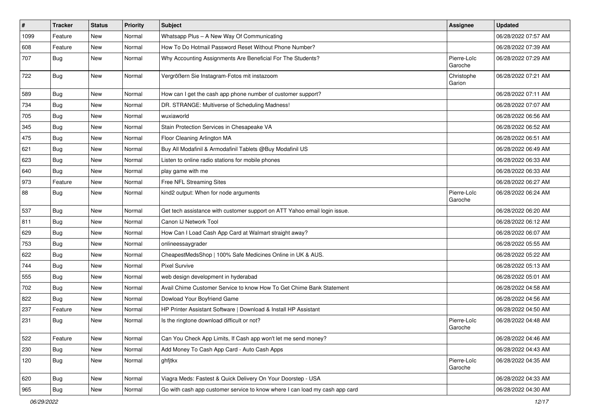| $\vert$ # | <b>Tracker</b> | <b>Status</b> | <b>Priority</b> | <b>Subject</b>                                                              | Assignee               | <b>Updated</b>      |
|-----------|----------------|---------------|-----------------|-----------------------------------------------------------------------------|------------------------|---------------------|
| 1099      | Feature        | New           | Normal          | Whatsapp Plus - A New Way Of Communicating                                  |                        | 06/28/2022 07:57 AM |
| 608       | Feature        | <b>New</b>    | Normal          | How To Do Hotmail Password Reset Without Phone Number?                      |                        | 06/28/2022 07:39 AM |
| 707       | <b>Bug</b>     | New           | Normal          | Why Accounting Assignments Are Beneficial For The Students?                 | Pierre-Loïc<br>Garoche | 06/28/2022 07:29 AM |
| 722       | Bug            | New           | Normal          | Vergrößern Sie Instagram-Fotos mit instazoom                                | Christophe<br>Garion   | 06/28/2022 07:21 AM |
| 589       | <b>Bug</b>     | New           | Normal          | How can I get the cash app phone number of customer support?                |                        | 06/28/2022 07:11 AM |
| 734       | <b>Bug</b>     | <b>New</b>    | Normal          | DR. STRANGE: Multiverse of Scheduling Madness!                              |                        | 06/28/2022 07:07 AM |
| 705       | Bug            | New           | Normal          | wuxiaworld                                                                  |                        | 06/28/2022 06:56 AM |
| 345       | Bug            | <b>New</b>    | Normal          | Stain Protection Services in Chesapeake VA                                  |                        | 06/28/2022 06:52 AM |
| 475       | Bug            | New           | Normal          | Floor Cleaning Arlington MA                                                 |                        | 06/28/2022 06:51 AM |
| 621       | Bug            | New           | Normal          | Buy All Modafinil & Armodafinil Tablets @Buy Modafinil US                   |                        | 06/28/2022 06:49 AM |
| 623       | Bug            | New           | Normal          | Listen to online radio stations for mobile phones                           |                        | 06/28/2022 06:33 AM |
| 640       | Bug            | New           | Normal          | play game with me                                                           |                        | 06/28/2022 06:33 AM |
| 973       | Feature        | New           | Normal          | Free NFL Streaming Sites                                                    |                        | 06/28/2022 06:27 AM |
| 88        | Bug            | New           | Normal          | kind2 output: When for node arguments                                       | Pierre-Loïc<br>Garoche | 06/28/2022 06:24 AM |
| 537       | <b>Bug</b>     | New           | Normal          | Get tech assistance with customer support on ATT Yahoo email login issue.   |                        | 06/28/2022 06:20 AM |
| 811       | <b>Bug</b>     | New           | Normal          | Canon IJ Network Tool                                                       |                        | 06/28/2022 06:12 AM |
| 629       | <b>Bug</b>     | New           | Normal          | How Can I Load Cash App Card at Walmart straight away?                      |                        | 06/28/2022 06:07 AM |
| 753       | Bug            | <b>New</b>    | Normal          | onlineessaygrader                                                           |                        | 06/28/2022 05:55 AM |
| 622       | Bug            | New           | Normal          | CheapestMedsShop   100% Safe Medicines Online in UK & AUS.                  |                        | 06/28/2022 05:22 AM |
| 744       | <b>Bug</b>     | New           | Normal          | <b>Pixel Survive</b>                                                        |                        | 06/28/2022 05:13 AM |
| 555       | <b>Bug</b>     | New           | Normal          | web design development in hyderabad                                         |                        | 06/28/2022 05:01 AM |
| 702       | <b>Bug</b>     | New           | Normal          | Avail Chime Customer Service to know How To Get Chime Bank Statement        |                        | 06/28/2022 04:58 AM |
| 822       | <b>Bug</b>     | New           | Normal          | Dowload Your Boyfriend Game                                                 |                        | 06/28/2022 04:56 AM |
| 237       | Feature        | New           | Normal          | HP Printer Assistant Software   Download & Install HP Assistant             |                        | 06/28/2022 04:50 AM |
| 231       | <b>Bug</b>     | New           | Normal          | Is the ringtone download difficult or not?                                  | Pierre-Loïc<br>Garoche | 06/28/2022 04:48 AM |
| 522       | Feature        | New           | Normal          | Can You Check App Limits, If Cash app won't let me send money?              |                        | 06/28/2022 04:46 AM |
| 230       | <b>Bug</b>     | New           | Normal          | Add Money To Cash App Card - Auto Cash Apps                                 |                        | 06/28/2022 04:43 AM |
| 120       | <b>Bug</b>     | New           | Normal          | ghfjtkx                                                                     | Pierre-Loïc<br>Garoche | 06/28/2022 04:35 AM |
| 620       | Bug            | New           | Normal          | Viagra Meds: Fastest & Quick Delivery On Your Doorstep - USA                |                        | 06/28/2022 04:33 AM |
| 965       | Bug            | New           | Normal          | Go with cash app customer service to know where I can load my cash app card |                        | 06/28/2022 04:30 AM |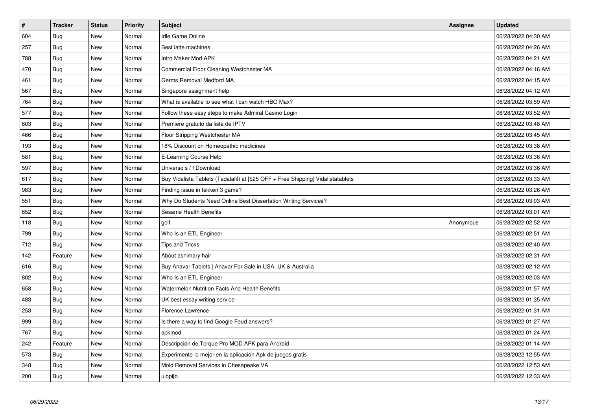| $\vert$ # | <b>Tracker</b> | <b>Status</b> | <b>Priority</b> | <b>Subject</b>                                                                   | <b>Assignee</b> | <b>Updated</b>      |
|-----------|----------------|---------------|-----------------|----------------------------------------------------------------------------------|-----------------|---------------------|
| 604       | <b>Bug</b>     | <b>New</b>    | Normal          | <b>Idle Game Online</b>                                                          |                 | 06/28/2022 04:30 AM |
| 257       | Bug            | New           | Normal          | Best latte machines                                                              |                 | 06/28/2022 04:26 AM |
| 788       | <b>Bug</b>     | <b>New</b>    | Normal          | Intro Maker Mod APK                                                              |                 | 06/28/2022 04:21 AM |
| 470       | Bug            | New           | Normal          | Commercial Floor Cleaning Westchester MA                                         |                 | 06/28/2022 04:16 AM |
| 461       | <b>Bug</b>     | New           | Normal          | Germs Removal Medford MA                                                         |                 | 06/28/2022 04:15 AM |
| 567       | <b>Bug</b>     | <b>New</b>    | Normal          | Singapore assignment help                                                        |                 | 06/28/2022 04:12 AM |
| 764       | <b>Bug</b>     | New           | Normal          | What is available to see what I can watch HBO Max?                               |                 | 06/28/2022 03:59 AM |
| 577       | <b>Bug</b>     | New           | Normal          | Follow these easy steps to make Admiral Casino Login                             |                 | 06/28/2022 03:52 AM |
| 603       | <b>Bug</b>     | <b>New</b>    | Normal          | Premiere gratuito da lista de IPTV                                               |                 | 06/28/2022 03:48 AM |
| 466       | Bug            | New           | Normal          | Floor Stripping Westchester MA                                                   |                 | 06/28/2022 03:45 AM |
| 193       | Bug            | New           | Normal          | 18% Discount on Homeopathic medicines                                            |                 | 06/28/2022 03:38 AM |
| 581       | <b>Bug</b>     | New           | Normal          | E-Learning Course Help                                                           |                 | 06/28/2022 03:36 AM |
| 597       | Bug            | New           | Normal          | Universo s / f Download                                                          |                 | 06/28/2022 03:36 AM |
| 617       | Bug            | New           | Normal          | Buy Vidalista Tablets (Tadalafil) at [\$25 OFF + Free Shipping] Vidalistatablets |                 | 06/28/2022 03:33 AM |
| 983       | <b>Bug</b>     | New           | Normal          | Finding issue in tekken 3 game?                                                  |                 | 06/28/2022 03:26 AM |
| 551       | <b>Bug</b>     | New           | Normal          | Why Do Students Need Online Best Dissertation Writing Services?                  |                 | 06/28/2022 03:03 AM |
| 652       | Bug            | New           | Normal          | Sesame Health Benefits                                                           |                 | 06/28/2022 03:01 AM |
| 118       | <b>Bug</b>     | New           | Normal          | golf                                                                             | Anonymous       | 06/28/2022 02:52 AM |
| 799       | <b>Bug</b>     | New           | Normal          | Who Is an ETL Engineer                                                           |                 | 06/28/2022 02:51 AM |
| 712       | Bug            | New           | Normal          | <b>Tips and Tricks</b>                                                           |                 | 06/28/2022 02:40 AM |
| 142       | Feature        | New           | Normal          | About ashimary hair                                                              |                 | 06/28/2022 02:31 AM |
| 616       | <b>Bug</b>     | New           | Normal          | Buy Anavar Tablets   Anavar For Sale in USA, UK & Australia                      |                 | 06/28/2022 02:12 AM |
| 802       | <b>Bug</b>     | New           | Normal          | Who Is an ETL Engineer                                                           |                 | 06/28/2022 02:03 AM |
| 658       | Bug            | New           | Normal          | Watermelon Nutrition Facts And Health Benefits                                   |                 | 06/28/2022 01:57 AM |
| 483       | <b>Bug</b>     | New           | Normal          | UK best essay writing service                                                    |                 | 06/28/2022 01:35 AM |
| 253       | Bug            | New           | Normal          | Florence Lawrence                                                                |                 | 06/28/2022 01:31 AM |
| 999       | Bug            | New           | Normal          | Is there a way to find Google Feud answers?                                      |                 | 06/28/2022 01:27 AM |
| 767       | Bug            | New           | Normal          | apkmod                                                                           |                 | 06/28/2022 01:24 AM |
| 242       | Feature        | New           | Normal          | Descripción de Torque Pro MOD APK para Android                                   |                 | 06/28/2022 01:14 AM |
| 573       | <b>Bug</b>     | New           | Normal          | Experimente lo mejor en la aplicación Apk de juegos gratis                       |                 | 06/28/2022 12:55 AM |
| 348       | <b>Bug</b>     | New           | Normal          | Mold Removal Services in Chesapeake VA                                           |                 | 06/28/2022 12:53 AM |
| 200       | <b>Bug</b>     | <b>New</b>    | Normal          | uiopi[o                                                                          |                 | 06/28/2022 12:33 AM |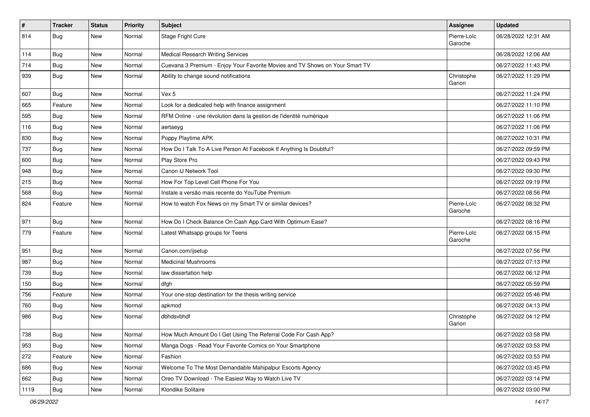| $\vert$ # | <b>Tracker</b> | <b>Status</b> | <b>Priority</b> | Subject                                                                      | Assignee               | <b>Updated</b>      |
|-----------|----------------|---------------|-----------------|------------------------------------------------------------------------------|------------------------|---------------------|
| 814       | <b>Bug</b>     | New           | Normal          | Stage Fright Cure                                                            | Pierre-Loïc<br>Garoche | 06/28/2022 12:31 AM |
| 114       | Bug            | New           | Normal          | <b>Medical Research Writing Services</b>                                     |                        | 06/28/2022 12:06 AM |
| 714       | <b>Bug</b>     | New           | Normal          | Cuevana 3 Premium - Enjoy Your Favorite Movies and TV Shows on Your Smart TV |                        | 06/27/2022 11:43 PM |
| 939       | <b>Bug</b>     | New           | Normal          | Ability to change sound notifications                                        | Christophe<br>Garion   | 06/27/2022 11:29 PM |
| 607       | Bug            | New           | Normal          | Vex 5                                                                        |                        | 06/27/2022 11:24 PM |
| 665       | Feature        | New           | Normal          | Look for a dedicated help with finance assignment                            |                        | 06/27/2022 11:10 PM |
| 595       | Bug            | New           | Normal          | RFM Online - une révolution dans la gestion de l'identité numérique          |                        | 06/27/2022 11:06 PM |
| 116       | <b>Bug</b>     | New           | Normal          | aertaeyg                                                                     |                        | 06/27/2022 11:06 PM |
| 830       | <b>Bug</b>     | New           | Normal          | Poppy Playtime APK                                                           |                        | 06/27/2022 10:31 PM |
| 737       | <b>Bug</b>     | New           | Normal          | How Do I Talk To A Live Person At Facebook If Anything Is Doubtful?          |                        | 06/27/2022 09:59 PM |
| 600       | Bug            | New           | Normal          | Play Store Pro                                                               |                        | 06/27/2022 09:43 PM |
| 948       | Bug            | New           | Normal          | Canon IJ Network Tool                                                        |                        | 06/27/2022 09:30 PM |
| 215       | Bug            | New           | Normal          | How For Top Level Cell Phone For You                                         |                        | 06/27/2022 09:19 PM |
| 568       | Bug            | New           | Normal          | Instale a versão mais recente do YouTube Premium                             |                        | 06/27/2022 08:56 PM |
| 824       | Feature        | New           | Normal          | How to watch Fox News on my Smart TV or similar devices?                     | Pierre-Loïc<br>Garoche | 06/27/2022 08:32 PM |
| 971       | Bug            | New           | Normal          | How Do I Check Balance On Cash App Card With Optimum Ease?                   |                        | 06/27/2022 08:16 PM |
| 779       | Feature        | New           | Normal          | Latest Whatsapp groups for Teens                                             | Pierre-Loïc<br>Garoche | 06/27/2022 08:15 PM |
| 951       | Bug            | New           | Normal          | Canon.com/ijsetup                                                            |                        | 06/27/2022 07:56 PM |
| 987       | Bug            | New           | Normal          | <b>Medicinal Mushrooms</b>                                                   |                        | 06/27/2022 07:13 PM |
| 739       | Bug            | New           | Normal          | law dissertation help                                                        |                        | 06/27/2022 06:12 PM |
| 150       | Bug            | New           | Normal          | dfgh                                                                         |                        | 06/27/2022 05:59 PM |
| 756       | Feature        | New           | Normal          | Your one-stop destination for the thesis writing service                     |                        | 06/27/2022 05:46 PM |
| 760       | <b>Bug</b>     | New           | Normal          | apkmod                                                                       |                        | 06/27/2022 04:13 PM |
| 986       | <b>Bug</b>     | New           | Normal          | dbhdsvbhdf                                                                   | Christophe<br>Garion   | 06/27/2022 04:12 PM |
| 738       | Bug            | New           | Normal          | How Much Amount Do I Get Using The Referral Code For Cash App?               |                        | 06/27/2022 03:58 PM |
| 953       | <b>Bug</b>     | New           | Normal          | Manga Dogs - Read Your Favorite Comics on Your Smartphone                    |                        | 06/27/2022 03:53 PM |
| 272       | Feature        | New           | Normal          | Fashion                                                                      |                        | 06/27/2022 03:53 PM |
| 686       | <b>Bug</b>     | New           | Normal          | Welcome To The Most Demandable Mahipalpur Escorts Agency                     |                        | 06/27/2022 03:45 PM |
| 662       | Bug            | New           | Normal          | Oreo TV Download - The Easiest Way to Watch Live TV                          |                        | 06/27/2022 03:14 PM |
| 1119      | <b>Bug</b>     | New           | Normal          | Klondike Solitaire                                                           |                        | 06/27/2022 03:00 PM |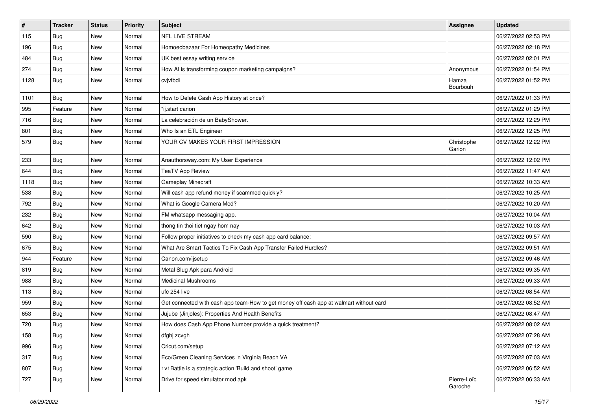| $\vert$ # | <b>Tracker</b> | <b>Status</b> | <b>Priority</b> | Subject                                                                                | Assignee               | <b>Updated</b>      |
|-----------|----------------|---------------|-----------------|----------------------------------------------------------------------------------------|------------------------|---------------------|
| 115       | <b>Bug</b>     | New           | Normal          | NFL LIVE STREAM                                                                        |                        | 06/27/2022 02:53 PM |
| 196       | Bug            | New           | Normal          | Homoeobazaar For Homeopathy Medicines                                                  |                        | 06/27/2022 02:18 PM |
| 484       | Bug            | New           | Normal          | UK best essay writing service                                                          |                        | 06/27/2022 02:01 PM |
| 274       | <b>Bug</b>     | New           | Normal          | How AI is transforming coupon marketing campaigns?                                     | Anonymous              | 06/27/2022 01:54 PM |
| 1128      | <b>Bug</b>     | New           | Normal          | cvjvfbdi                                                                               | Hamza<br>Bourbouh      | 06/27/2022 01:52 PM |
| 1101      | <b>Bug</b>     | New           | Normal          | How to Delete Cash App History at once?                                                |                        | 06/27/2022 01:33 PM |
| 995       | Feature        | New           | Normal          | "ij.start canon                                                                        |                        | 06/27/2022 01:29 PM |
| 716       | Bug            | New           | Normal          | La celebración de un BabyShower.                                                       |                        | 06/27/2022 12:29 PM |
| 801       | Bug            | New           | Normal          | Who Is an ETL Engineer                                                                 |                        | 06/27/2022 12:25 PM |
| 579       | Bug            | New           | Normal          | YOUR CV MAKES YOUR FIRST IMPRESSION                                                    | Christophe<br>Garion   | 06/27/2022 12:22 PM |
| 233       | Bug            | New           | Normal          | Anauthorsway.com: My User Experience                                                   |                        | 06/27/2022 12:02 PM |
| 644       | Bug            | New           | Normal          | <b>TeaTV App Review</b>                                                                |                        | 06/27/2022 11:47 AM |
| 1118      | Bug            | New           | Normal          | Gameplay Minecraft                                                                     |                        | 06/27/2022 10:33 AM |
| 538       | Bug            | New           | Normal          | Will cash app refund money if scammed quickly?                                         |                        | 06/27/2022 10:25 AM |
| 792       | Bug            | New           | Normal          | What is Google Camera Mod?                                                             |                        | 06/27/2022 10:20 AM |
| 232       | <b>Bug</b>     | New           | Normal          | FM whatsapp messaging app.                                                             |                        | 06/27/2022 10:04 AM |
| 642       | <b>Bug</b>     | New           | Normal          | thong tin thoi tiet ngay hom nay                                                       |                        | 06/27/2022 10:03 AM |
| 590       | <b>Bug</b>     | New           | Normal          | Follow proper initiatives to check my cash app card balance:                           |                        | 06/27/2022 09:57 AM |
| 675       | Bug            | New           | Normal          | What Are Smart Tactics To Fix Cash App Transfer Failed Hurdles?                        |                        | 06/27/2022 09:51 AM |
| 944       | Feature        | New           | Normal          | Canon.com/ijsetup                                                                      |                        | 06/27/2022 09:46 AM |
| 819       | <b>Bug</b>     | New           | Normal          | Metal Slug Apk para Android                                                            |                        | 06/27/2022 09:35 AM |
| 988       | Bug            | New           | Normal          | <b>Medicinal Mushrooms</b>                                                             |                        | 06/27/2022 09:33 AM |
| 113       | <b>Bug</b>     | New           | Normal          | ufc 254 live                                                                           |                        | 06/27/2022 08:54 AM |
| 959       | Bug            | New           | Normal          | Get connected with cash app team-How to get money off cash app at walmart without card |                        | 06/27/2022 08:52 AM |
| 653       | <b>Bug</b>     | New           | Normal          | Jujube (Jinjoles): Properties And Health Benefits                                      |                        | 06/27/2022 08:47 AM |
| 720       | Bug            | New           | Normal          | How does Cash App Phone Number provide a quick treatment?                              |                        | 06/27/2022 08:02 AM |
| 158       | Bug            | New           | Normal          | dfghj zcvgh                                                                            |                        | 06/27/2022 07:28 AM |
| 996       | <b>Bug</b>     | New           | Normal          | Cricut.com/setup                                                                       |                        | 06/27/2022 07:12 AM |
| 317       | <b>Bug</b>     | New           | Normal          | Eco/Green Cleaning Services in Virginia Beach VA                                       |                        | 06/27/2022 07:03 AM |
| 807       | <b>Bug</b>     | New           | Normal          | 1v1Battle is a strategic action 'Build and shoot' game                                 |                        | 06/27/2022 06:52 AM |
| 727       | Bug            | New           | Normal          | Drive for speed simulator mod apk                                                      | Pierre-Loïc<br>Garoche | 06/27/2022 06:33 AM |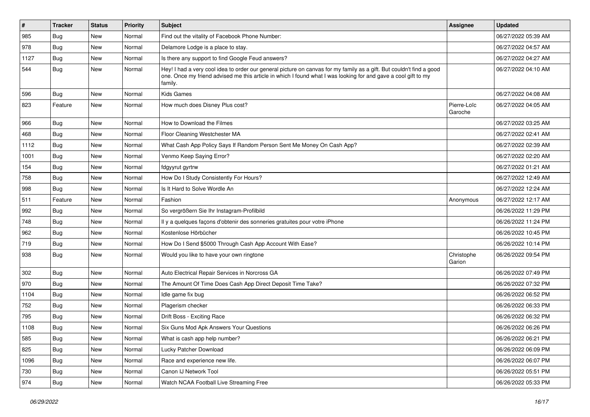| #    | <b>Tracker</b> | <b>Status</b> | <b>Priority</b> | Subject                                                                                                                                                                                                                                           | Assignee               | <b>Updated</b>      |
|------|----------------|---------------|-----------------|---------------------------------------------------------------------------------------------------------------------------------------------------------------------------------------------------------------------------------------------------|------------------------|---------------------|
| 985  | <b>Bug</b>     | New           | Normal          | Find out the vitality of Facebook Phone Number:                                                                                                                                                                                                   |                        | 06/27/2022 05:39 AM |
| 978  | Bug            | New           | Normal          | Delamore Lodge is a place to stay.                                                                                                                                                                                                                |                        | 06/27/2022 04:57 AM |
| 1127 | <b>Bug</b>     | New           | Normal          | Is there any support to find Google Feud answers?                                                                                                                                                                                                 |                        | 06/27/2022 04:27 AM |
| 544  | <b>Bug</b>     | New           | Normal          | Hey! I had a very cool idea to order our general picture on canvas for my family as a gift. But couldn't find a good<br>one. Once my friend advised me this article in which I found what I was looking for and gave a cool gift to my<br>family. |                        | 06/27/2022 04:10 AM |
| 596  | <b>Bug</b>     | New           | Normal          | <b>Kids Games</b>                                                                                                                                                                                                                                 |                        | 06/27/2022 04:08 AM |
| 823  | Feature        | New           | Normal          | How much does Disney Plus cost?                                                                                                                                                                                                                   | Pierre-Loïc<br>Garoche | 06/27/2022 04:05 AM |
| 966  | Bug            | <b>New</b>    | Normal          | How to Download the Filmes                                                                                                                                                                                                                        |                        | 06/27/2022 03:25 AM |
| 468  | Bug            | New           | Normal          | Floor Cleaning Westchester MA                                                                                                                                                                                                                     |                        | 06/27/2022 02:41 AM |
| 1112 | Bug            | New           | Normal          | What Cash App Policy Says If Random Person Sent Me Money On Cash App?                                                                                                                                                                             |                        | 06/27/2022 02:39 AM |
| 1001 | Bug            | New           | Normal          | Venmo Keep Saying Error?                                                                                                                                                                                                                          |                        | 06/27/2022 02:20 AM |
| 154  | Bug            | New           | Normal          | fdgyyrut gyrtrw                                                                                                                                                                                                                                   |                        | 06/27/2022 01:21 AM |
| 758  | Bug            | New           | Normal          | How Do I Study Consistently For Hours?                                                                                                                                                                                                            |                        | 06/27/2022 12:49 AM |
| 998  | Bug            | New           | Normal          | Is It Hard to Solve Wordle An                                                                                                                                                                                                                     |                        | 06/27/2022 12:24 AM |
| 511  | Feature        | New           | Normal          | Fashion                                                                                                                                                                                                                                           | Anonymous              | 06/27/2022 12:17 AM |
| 992  | Bug            | New           | Normal          | So vergrößern Sie Ihr Instagram-Profilbild                                                                                                                                                                                                        |                        | 06/26/2022 11:29 PM |
| 748  | Bug            | New           | Normal          | Il y a quelques façons d'obtenir des sonneries gratuites pour votre iPhone                                                                                                                                                                        |                        | 06/26/2022 11:24 PM |
| 962  | Bug            | New           | Normal          | Kostenlose Hörbücher                                                                                                                                                                                                                              |                        | 06/26/2022 10:45 PM |
| 719  | Bug            | New           | Normal          | How Do I Send \$5000 Through Cash App Account With Ease?                                                                                                                                                                                          |                        | 06/26/2022 10:14 PM |
| 938  | <b>Bug</b>     | New           | Normal          | Would you like to have your own ringtone                                                                                                                                                                                                          | Christophe<br>Garion   | 06/26/2022 09:54 PM |
| 302  | Bug            | New           | Normal          | Auto Electrical Repair Services in Norcross GA                                                                                                                                                                                                    |                        | 06/26/2022 07:49 PM |
| 970  | Bug            | New           | Normal          | The Amount Of Time Does Cash App Direct Deposit Time Take?                                                                                                                                                                                        |                        | 06/26/2022 07:32 PM |
| 1104 | Bug            | New           | Normal          | Idle game fix bug                                                                                                                                                                                                                                 |                        | 06/26/2022 06:52 PM |
| 752  | Bug            | New           | Normal          | Plagerism checker                                                                                                                                                                                                                                 |                        | 06/26/2022 06:33 PM |
| 795  | <b>Bug</b>     | New           | Normal          | Drift Boss - Exciting Race                                                                                                                                                                                                                        |                        | 06/26/2022 06:32 PM |
| 1108 | <b>Bug</b>     | New           | Normal          | Six Guns Mod Apk Answers Your Questions                                                                                                                                                                                                           |                        | 06/26/2022 06:26 PM |
| 585  | <b>Bug</b>     | New           | Normal          | What is cash app help number?                                                                                                                                                                                                                     |                        | 06/26/2022 06:21 PM |
| 825  | Bug            | New           | Normal          | Lucky Patcher Download                                                                                                                                                                                                                            |                        | 06/26/2022 06:09 PM |
| 1096 | Bug            | New           | Normal          | Race and experience new life.                                                                                                                                                                                                                     |                        | 06/26/2022 06:07 PM |
| 730  | Bug            | New           | Normal          | Canon IJ Network Tool                                                                                                                                                                                                                             |                        | 06/26/2022 05:51 PM |
| 974  | Bug            | New           | Normal          | Watch NCAA Football Live Streaming Free                                                                                                                                                                                                           |                        | 06/26/2022 05:33 PM |